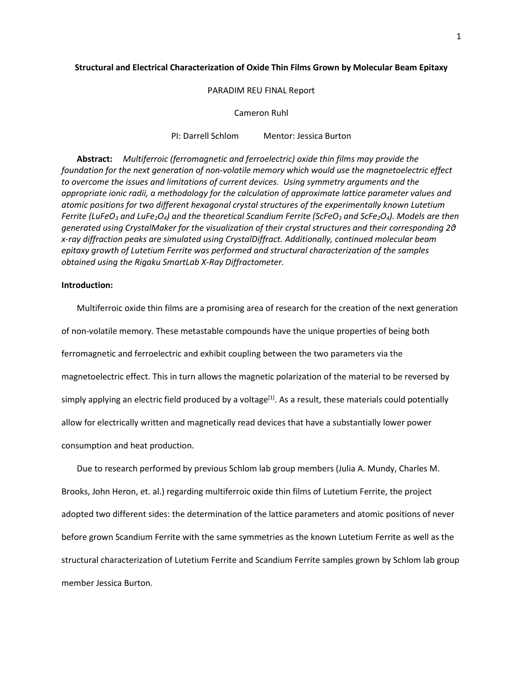### **Structural and Electrical Characterization of Oxide Thin Films Grown by Molecular Beam Epitaxy**

PARADIM REU FINAL Report

Cameron Ruhl

PI: Darrell Schlom Mentor: Jessica Burton

**Abstract:** *Multiferroic (ferromagnetic and ferroelectric) oxide thin films may provide the foundation for the next generation of non-volatile memory which would use the magnetoelectric effect to overcome the issues and limitations of current devices. Using symmetry arguments and the appropriate ionic radii, a methodology for the calculation of approximate lattice parameter values and atomic positions for two different hexagonal crystal structures of the experimentally known Lutetium Ferrite (LuFeO3 and LuFe2O4) and the theoretical Scandium Ferrite (ScFeO3 and ScFe2O4). Models are then generated using CrystalMaker for the visualization of their crystal structures and their corresponding 2θ x-ray diffraction peaks are simulated using CrystalDiffract. Additionally, continued molecular beam epitaxy growth of Lutetium Ferrite was performed and structural characterization of the samples obtained using the Rigaku SmartLab X-Ray Diffractometer.*

# **Introduction:**

Multiferroic oxide thin films are a promising area of research for the creation of the next generation of non-volatile memory. These metastable compounds have the unique properties of being both ferromagnetic and ferroelectric and exhibit coupling between the two parameters via the magnetoelectric effect. This in turn allows the magnetic polarization of the material to be reversed by simply applying an electric field produced by a voltage<sup>[1]</sup>. As a result, these materials could potentially allow for electrically written and magnetically read devices that have a substantially lower power consumption and heat production.

Due to research performed by previous Schlom lab group members (Julia A. Mundy, Charles M. Brooks, John Heron, et. al.) regarding multiferroic oxide thin films of Lutetium Ferrite, the project adopted two different sides: the determination of the lattice parameters and atomic positions of never before grown Scandium Ferrite with the same symmetries as the known Lutetium Ferrite as well as the structural characterization of Lutetium Ferrite and Scandium Ferrite samples grown by Schlom lab group member Jessica Burton.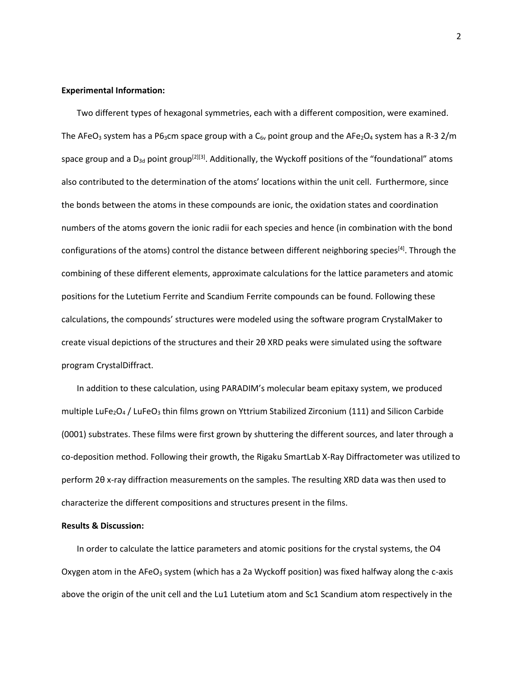## **Experimental Information:**

Two different types of hexagonal symmetries, each with a different composition, were examined. The AFeO<sub>3</sub> system has a P6<sub>3</sub>cm space group with a C<sub>6v</sub> point group and the AFe<sub>2</sub>O<sub>4</sub> system has a R-3 2/m space group and a  $D_{3d}$  point group<sup>[2][3]</sup>. Additionally, the Wyckoff positions of the "foundational" atoms also contributed to the determination of the atoms' locations within the unit cell. Furthermore, since the bonds between the atoms in these compounds are ionic, the oxidation states and coordination numbers of the atoms govern the ionic radii for each species and hence (in combination with the bond configurations of the atoms) control the distance between different neighboring species<sup>[4]</sup>. Through the combining of these different elements, approximate calculations for the lattice parameters and atomic positions for the Lutetium Ferrite and Scandium Ferrite compounds can be found. Following these calculations, the compounds' structures were modeled using the software program CrystalMaker to create visual depictions of the structures and their 2θ XRD peaks were simulated using the software program CrystalDiffract.

In addition to these calculation, using PARADIM's molecular beam epitaxy system, we produced multiple LuFe<sub>2</sub>O<sub>4</sub> / LuFeO<sub>3</sub> thin films grown on Yttrium Stabilized Zirconium (111) and Silicon Carbide (0001) substrates. These films were first grown by shuttering the different sources, and later through a co-deposition method. Following their growth, the Rigaku SmartLab X-Ray Diffractometer was utilized to perform 2θ x-ray diffraction measurements on the samples. The resulting XRD data was then used to characterize the different compositions and structures present in the films.

# **Results & Discussion:**

In order to calculate the lattice parameters and atomic positions for the crystal systems, the O4 Oxygen atom in the AFeO<sub>3</sub> system (which has a 2a Wyckoff position) was fixed halfway along the c-axis above the origin of the unit cell and the Lu1 Lutetium atom and Sc1 Scandium atom respectively in the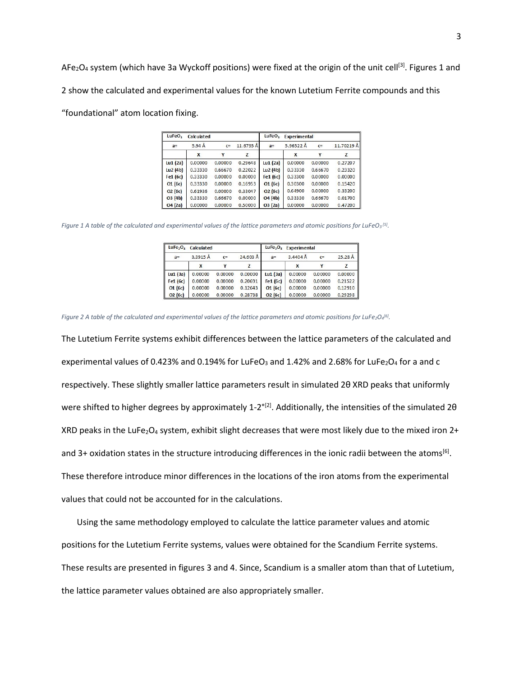AFe<sub>2</sub>O<sub>4</sub> system (which have 3a Wyckoff positions) were fixed at the origin of the unit cell<sup>[3]</sup>. Figures 1 and 2 show the calculated and experimental values for the known Lutetium Ferrite compounds and this

"foundational" atom location fixing.

| LuFeO <sub>3</sub> | Calculated |         |           | LuFeO <sub>3</sub> | Experimental |         |            |
|--------------------|------------|---------|-----------|--------------------|--------------|---------|------------|
| $a=$               | 5.94A      | $C =$   | 11.6795 Å | $a=$               | 5.96522 Å    | $C =$   | 11.70219 Å |
|                    | X          | Y       | Z         |                    | X            | Y       | z          |
| Lu1 $(2a)$         | 0.00000    | 0.00000 | 0.29648   | Lu1(2a)            | 0.00000      | 0.00000 | 0.27207    |
| Lu2(4b)            | 0.33330    | 0.66670 | 0.22022   | Lu2(4b)            | 0.33330      | 0.66670 | 0.23320    |
| Fe1 (6c)           | 0.33330    | 0.00000 | 0.00000   | Fe1 (6c)           | 0.33300      | 0.00000 | 0.00000    |
| O1(6c)             | 0.33330    | 0.00000 | 0.16953   | O1(6c)             | 0.30300      | 0.00000 | 0.15420    |
| O2(6c)             | 0.61936    | 0.00000 | 0.33047   | O2(6c)             | 0.64900      | 0.00000 | 0.33200    |
| O3(4b)             | 0.33330    | 0.66670 | 0.00000   | O(4 b)             | 0.33330      | 0.66670 | 0.01700    |
| O4(2a)             | 0.00000    | 0.00000 | 0.50000   | O3(2a)             | 0.00000      | 0.00000 | 0.47200    |

*Figure 1 A table of the calculated and experimental values of the lattice parameters and atomic positions for LuFeO3 [5].*

| LuFe <sub>2</sub> O <sub>4</sub> Calculated |         |         | LuFe <sub>2</sub> O <sub>4</sub><br>Experimental |            |                      |         |         |
|---------------------------------------------|---------|---------|--------------------------------------------------|------------|----------------------|---------|---------|
| $a=$                                        | 3.3915A | $C =$   | $24.603 \text{ Å}$                               | $a=$       | $3.4404\,\text{\AA}$ | $c =$   | 25.28A  |
|                                             | x       |         |                                                  |            |                      |         |         |
| Lu1(3a)                                     | 0.00000 | 0.00000 | 0.00000                                          | Lu1(3a)    | 0.00000              | 0.00000 | 0.00000 |
| Fe1 (6c)                                    | 0.00000 | 0.00000 | 0.20691                                          | Fe $1(6c)$ | 0.00000              | 0.00000 | 0.21522 |
| O1(6c)                                      | 0.00000 | 0.00000 | 0.12643                                          | O1(6c)     | 0.00000              | 0.00000 | 0.12910 |
| O2(6c)                                      | 0.00000 | 0.00000 | 0.28738                                          | O2(6c)     | 0.00000              | 0.00000 | 0.29298 |

*Figure 2 A table of the calculated and experimental values of the lattice parameters and atomic positions for LuFe2O4 [6].*

The Lutetium Ferrite systems exhibit differences between the lattice parameters of the calculated and experimental values of 0.423% and 0.194% for LuFeO<sub>3</sub> and 1.42% and 2.68% for LuFe<sub>2</sub>O<sub>4</sub> for a and c respectively. These slightly smaller lattice parameters result in simulated 2θ XRD peaks that uniformly were shifted to higher degrees by approximately 1-2<sup>o[2]</sup>. Additionally, the intensities of the simulated 20 XRD peaks in the LuFe<sub>2</sub>O<sub>4</sub> system, exhibit slight decreases that were most likely due to the mixed iron 2+ and 3+ oxidation states in the structure introducing differences in the ionic radii between the atoms<sup>[6]</sup>. These therefore introduce minor differences in the locations of the iron atoms from the experimental values that could not be accounted for in the calculations.

Using the same methodology employed to calculate the lattice parameter values and atomic positions for the Lutetium Ferrite systems, values were obtained for the Scandium Ferrite systems. These results are presented in figures 3 and 4. Since, Scandium is a smaller atom than that of Lutetium, the lattice parameter values obtained are also appropriately smaller.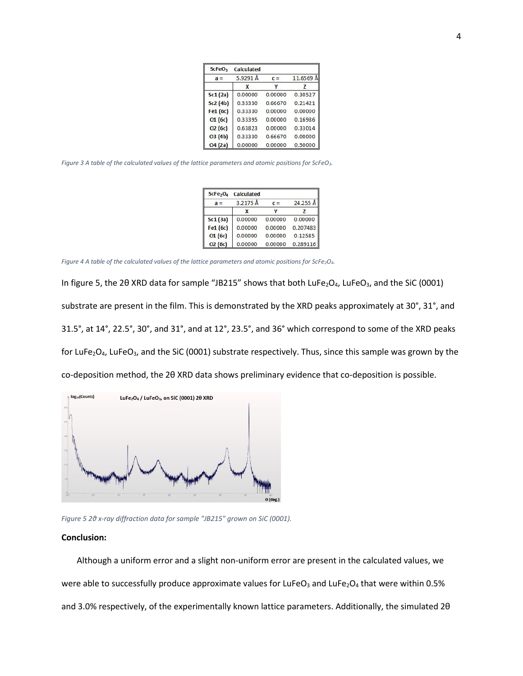| <b>ScFeO</b> <sub>3</sub> | <b>Calculated</b> |         |           |  |
|---------------------------|-------------------|---------|-----------|--|
| $a =$                     | 5.9291 Å          | $c =$   | 11.6569 Å |  |
|                           | X                 |         | 7         |  |
| Sc1(2a)                   | 0.00000           | 0.00000 | 0.30527   |  |
| Sc2(4b)                   | 0.33330           | 0.66670 | 0.21421   |  |
| Fe1 (6c)                  | 0.33330           | 0.00000 | 0.00000   |  |
| O1(6c)                    | 0.33395           | 0.00000 | 0.16986   |  |
| O <sub>2</sub> (6c)       | 0.63823           | 0.00000 | 0.33014   |  |
| O3 (4b)                   | 0.33330           | 0.66670 | 0.00000   |  |
| O4(2a)                    | 0.00000           | 0.00000 | 0.50000   |  |

*Figure 3 A table of the calculated values of the lattice parameters and atomic positions for ScFeO3.*

|                     | ScFe <sub>2</sub> O <sub>4</sub> Calculated |         |          |
|---------------------|---------------------------------------------|---------|----------|
| $a =$               | 3.2175 Å                                    | $c =$   | 24.255 Å |
|                     | x                                           |         |          |
| Sc1(3a)             | 0.00000                                     | 0.00000 | 0.00000  |
| Fe1 (6c)            | 0.00000                                     | 0.00000 | 0.207483 |
| O1(6c)              | 0.00000                                     | 0.00000 | 0.12585  |
| O <sub>2</sub> (6c) | 0.00000                                     | 0.00000 | 0.289116 |

*Figure 4 A table of the calculated values of the lattice parameters and atomic positions for ScFe2O4.*

In figure 5, the 2θ XRD data for sample "JB215" shows that both LuFe<sub>2</sub>O<sub>4</sub>, LuFeO<sub>3</sub>, and the SiC (0001) substrate are present in the film. This is demonstrated by the XRD peaks approximately at 30°, 31°, and 31.5°, at 14°, 22.5°, 30°, and 31°, and at 12°, 23.5°, and 36° which correspond to some of the XRD peaks for LuFe<sub>2</sub>O<sub>4</sub>, LuFeO<sub>3</sub>, and the SiC (0001) substrate respectively. Thus, since this sample was grown by the co-deposition method, the 2θ XRD data shows preliminary evidence that co-deposition is possible.



*Figure 5 2θ x-ray diffraction data for sample "JB215" grown on SiC (0001).*

### **Conclusion:**

Although a uniform error and a slight non-uniform error are present in the calculated values, we were able to successfully produce approximate values for LuFeO<sub>3</sub> and LuFe<sub>2</sub>O<sub>4</sub> that were within 0.5% and 3.0% respectively, of the experimentally known lattice parameters. Additionally, the simulated 2θ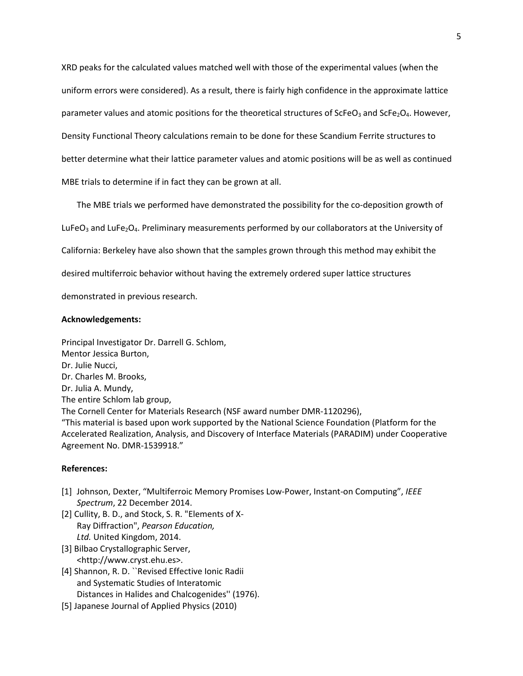XRD peaks for the calculated values matched well with those of the experimental values (when the uniform errors were considered). As a result, there is fairly high confidence in the approximate lattice parameter values and atomic positions for the theoretical structures of  $\text{ScFeO}_3$  and  $\text{ScFe}_2\text{O}_4$ . However, Density Functional Theory calculations remain to be done for these Scandium Ferrite structures to better determine what their lattice parameter values and atomic positions will be as well as continued MBE trials to determine if in fact they can be grown at all.

The MBE trials we performed have demonstrated the possibility for the co-deposition growth of

LuFeO<sub>3</sub> and LuFe<sub>2</sub>O<sub>4</sub>. Preliminary measurements performed by our collaborators at the University of

California: Berkeley have also shown that the samples grown through this method may exhibit the

desired multiferroic behavior without having the extremely ordered super lattice structures

demonstrated in previous research.

### **Acknowledgements:**

Principal Investigator Dr. Darrell G. Schlom, Mentor Jessica Burton, Dr. Julie Nucci, Dr. Charles M. Brooks, Dr. Julia A. Mundy, The entire Schlom lab group, The Cornell Center for Materials Research (NSF award number DMR-1120296), "This material is based upon work supported by the National Science Foundation (Platform for the Accelerated Realization, Analysis, and Discovery of Interface Materials (PARADIM) under Cooperative Agreement No. DMR-1539918."

### **References:**

- [1] Johnson, Dexter, "Multiferroic Memory Promises Low-Power, Instant-on Computing", *IEEE Spectrum*, 22 December 2014.
- [2] Cullity, B. D., and Stock, S. R. "Elements of X-Ray Diffraction", *Pearson Education, Ltd.* United Kingdom, 2014.
- [3] Bilbao Crystallographic Server, <http://www.cryst.ehu.es>.
- [4] Shannon, R. D. ``Revised Effective Ionic Radii and Systematic Studies of Interatomic Distances in Halides and Chalcogenides'' (1976).
- [5] Japanese Journal of Applied Physics (2010)